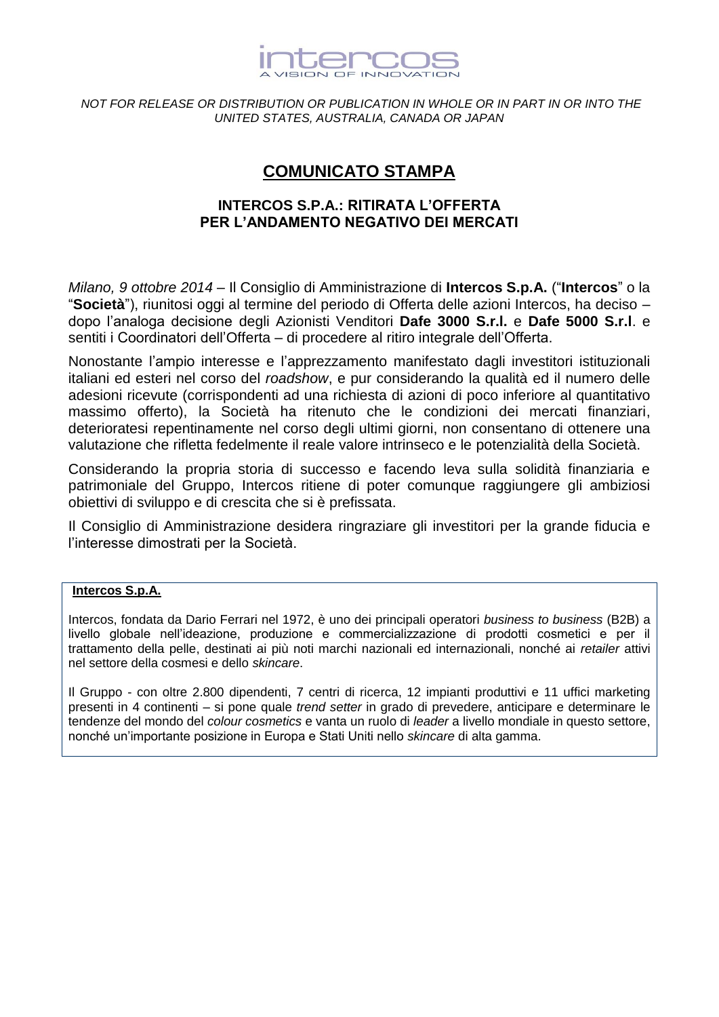

# *NOT FOR RELEASE OR DISTRIBUTION OR PUBLICATION IN WHOLE OR IN PART IN OR INTO THE UNITED STATES, AUSTRALIA, CANADA OR JAPAN*

# **COMUNICATO STAMPA**

# **INTERCOS S.P.A.: RITIRATA L'OFFERTA PER L'ANDAMENTO NEGATIVO DEI MERCATI**

*Milano, 9 ottobre 2014* – Il Consiglio di Amministrazione di **Intercos S.p.A.** ("**Intercos**" o la "**Società**"), riunitosi oggi al termine del periodo di Offerta delle azioni Intercos, ha deciso – dopo l'analoga decisione degli Azionisti Venditori **Dafe 3000 S.r.l.** e **Dafe 5000 S.r.l**. e sentiti i Coordinatori dell'Offerta – di procedere al ritiro integrale dell'Offerta.

Nonostante l'ampio interesse e l'apprezzamento manifestato dagli investitori istituzionali italiani ed esteri nel corso del *roadshow*, e pur considerando la qualità ed il numero delle adesioni ricevute (corrispondenti ad una richiesta di azioni di poco inferiore al quantitativo massimo offerto), la Società ha ritenuto che le condizioni dei mercati finanziari, deterioratesi repentinamente nel corso degli ultimi giorni, non consentano di ottenere una valutazione che rifletta fedelmente il reale valore intrinseco e le potenzialità della Società.

Considerando la propria storia di successo e facendo leva sulla solidità finanziaria e patrimoniale del Gruppo, Intercos ritiene di poter comunque raggiungere gli ambiziosi obiettivi di sviluppo e di crescita che si è prefissata.

Il Consiglio di Amministrazione desidera ringraziare gli investitori per la grande fiducia e l'interesse dimostrati per la Società.

# **Intercos S.p.A.**

Intercos, fondata da Dario Ferrari nel 1972, è uno dei principali operatori *business to business* (B2B) a livello globale nell'ideazione, produzione e commercializzazione di prodotti cosmetici e per il trattamento della pelle, destinati ai più noti marchi nazionali ed internazionali, nonché ai *retailer* attivi nel settore della cosmesi e dello *skincare*.

Il Gruppo - con oltre 2.800 dipendenti, 7 centri di ricerca, 12 impianti produttivi e 11 uffici marketing presenti in 4 continenti – si pone quale *trend setter* in grado di prevedere, anticipare e determinare le tendenze del mondo del *colour cosmetics* e vanta un ruolo di *leader* a livello mondiale in questo settore, nonché un'importante posizione in Europa e Stati Uniti nello *skincare* di alta gamma.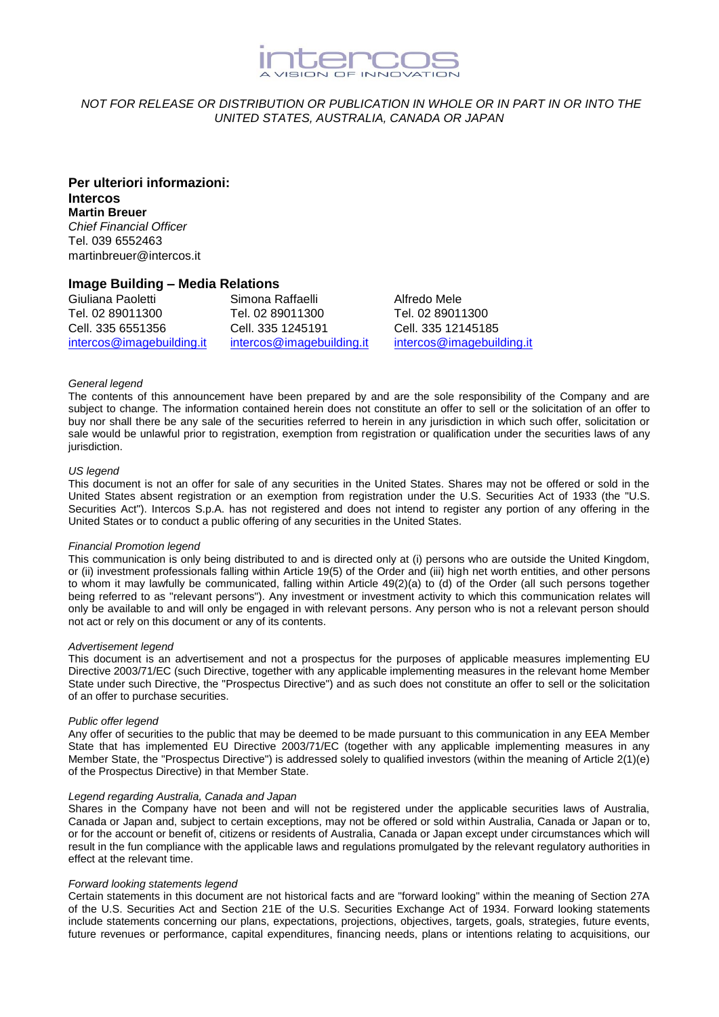

# *NOT FOR RELEASE OR DISTRIBUTION OR PUBLICATION IN WHOLE OR IN PART IN OR INTO THE UNITED STATES, AUSTRALIA, CANADA OR JAPAN*

**Per ulteriori informazioni: Intercos Martin Breuer** *Chief Financial Officer* Tel. 039 6552463 martinbreuer@intercos.it

### **Image Building – Media Relations**

Giuliana Paoletti Tel. 02 89011300 Cell. 335 6551356 [intercos@imagebuilding.it](mailto:intercos@imagebuilding.it) Simona Raffaelli Tel. 02 89011300 Cell. 335 1245191 [intercos@imagebuilding.it](mailto:intercos@imagebuilding.it) Alfredo Mele Tel. 02 89011300 Cell. 335 12145185 [intercos@imagebuilding.it](mailto:intercos@imagebuilding.it)

#### *General legend*

The contents of this announcement have been prepared by and are the sole responsibility of the Company and are subject to change. The information contained herein does not constitute an offer to sell or the solicitation of an offer to buy nor shall there be any sale of the securities referred to herein in any jurisdiction in which such offer, solicitation or sale would be unlawful prior to registration, exemption from registration or qualification under the securities laws of any jurisdiction.

#### *US legend*

This document is not an offer for sale of any securities in the United States. Shares may not be offered or sold in the United States absent registration or an exemption from registration under the U.S. Securities Act of 1933 (the "U.S. Securities Act"). Intercos S.p.A. has not registered and does not intend to register any portion of any offering in the United States or to conduct a public offering of any securities in the United States.

#### *Financial Promotion legend*

This communication is only being distributed to and is directed only at (i) persons who are outside the United Kingdom, or (ii) investment professionals falling within Article 19(5) of the Order and (iii) high net worth entities, and other persons to whom it may lawfully be communicated, falling within Article 49(2)(a) to (d) of the Order (all such persons together being referred to as "relevant persons"). Any investment or investment activity to which this communication relates will only be available to and will only be engaged in with relevant persons. Any person who is not a relevant person should not act or rely on this document or any of its contents.

#### *Advertisement legend*

This document is an advertisement and not a prospectus for the purposes of applicable measures implementing EU Directive 2003/71/EC (such Directive, together with any applicable implementing measures in the relevant home Member State under such Directive, the "Prospectus Directive") and as such does not constitute an offer to sell or the solicitation of an offer to purchase securities.

#### *Public offer legend*

Any offer of securities to the public that may be deemed to be made pursuant to this communication in any EEA Member State that has implemented EU Directive 2003/71/EC (together with any applicable implementing measures in any Member State, the "Prospectus Directive") is addressed solely to qualified investors (within the meaning of Article 2(1)(e) of the Prospectus Directive) in that Member State.

#### *Legend regarding Australia, Canada and Japan*

Shares in the Company have not been and will not be registered under the applicable securities laws of Australia, Canada or Japan and, subject to certain exceptions, may not be offered or sold within Australia, Canada or Japan or to, or for the account or benefit of, citizens or residents of Australia, Canada or Japan except under circumstances which will result in the fun compliance with the applicable laws and regulations promulgated by the relevant regulatory authorities in effect at the relevant time.

#### *Forward looking statements legend*

Certain statements in this document are not historical facts and are "forward looking" within the meaning of Section 27A of the U.S. Securities Act and Section 21E of the U.S. Securities Exchange Act of 1934. Forward looking statements include statements concerning our plans, expectations, projections, objectives, targets, goals, strategies, future events, future revenues or performance, capital expenditures, financing needs, plans or intentions relating to acquisitions, our